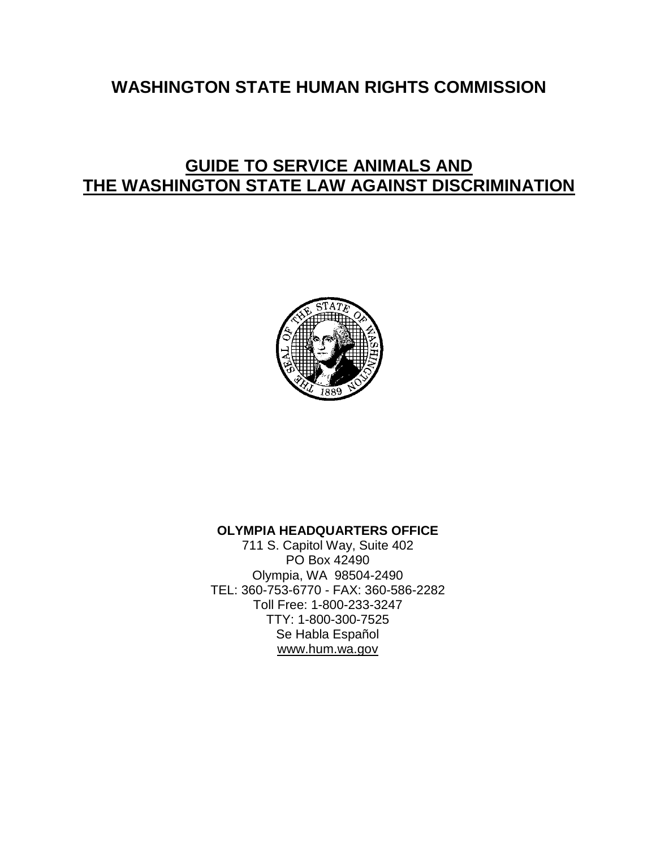# **WASHINGTON STATE HUMAN RIGHTS COMMISSION**

# **GUIDE TO SERVICE ANIMALS AND THE WASHINGTON STATE LAW AGAINST DISCRIMINATION**



### **OLYMPIA HEADQUARTERS OFFICE**

711 S. Capitol Way, Suite 402 PO Box 42490 Olympia, WA 98504-2490 TEL: 360-753-6770 - FAX: 360-586-2282 Toll Free: 1-800-233-3247 TTY: 1-800-300-7525 Se Habla Español www.hum.wa.gov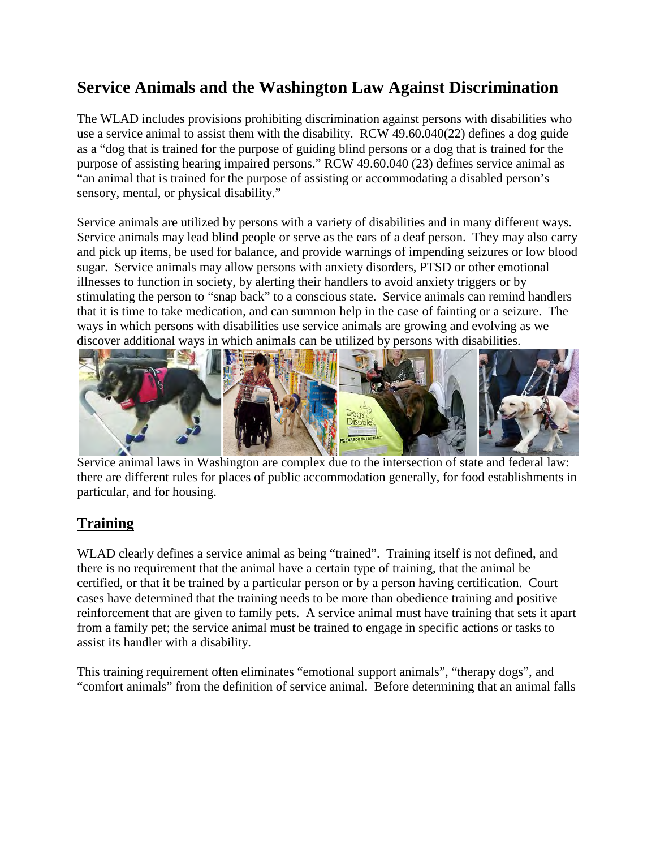# **Service Animals and the Washington Law Against Discrimination**

The WLAD includes provisions prohibiting discrimination against persons with disabilities who use a service animal to assist them with the disability. RCW 49.60.040(22) defines a dog guide as a "dog that is trained for the purpose of guiding blind persons or a dog that is trained for the purpose of assisting hearing impaired persons." RCW 49.60.040 (23) defines service animal as "an animal that is trained for the purpose of assisting or accommodating a disabled person's sensory, mental, or physical disability."

Service animals are utilized by persons with a variety of disabilities and in many different ways. Service animals may lead blind people or serve as the ears of a deaf person. They may also carry and pick up items, be used for balance, and provide warnings of impending seizures or low blood sugar. Service animals may allow persons with anxiety disorders, PTSD or other emotional illnesses to function in society, by alerting their handlers to avoid anxiety triggers or by stimulating the person to "snap back" to a conscious state. Service animals can remind handlers that it is time to take medication, and can summon help in the case of fainting or a seizure. The ways in which persons with disabilities use service animals are growing and evolving as we discover additional ways in which animals can be utilized by persons with disabilities.



Service animal laws in Washington are complex due to the intersection of state and federal law: there are different rules for places of public accommodation generally, for food establishments in particular, and for housing.

### **Training**

WLAD clearly defines a service animal as being "trained". Training itself is not defined, and there is no requirement that the animal have a certain type of training, that the animal be certified, or that it be trained by a particular person or by a person having certification. Court cases have determined that the training needs to be more than obedience training and positive reinforcement that are given to family pets. A service animal must have training that sets it apart from a family pet; the service animal must be trained to engage in specific actions or tasks to assist its handler with a disability.

This training requirement often eliminates "emotional support animals", "therapy dogs", and "comfort animals" from the definition of service animal. Before determining that an animal falls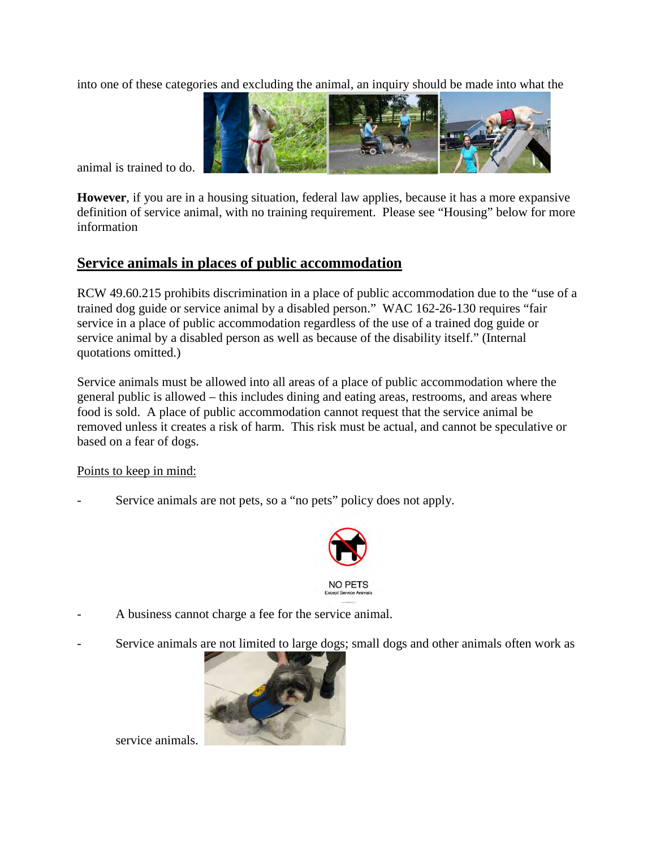into one of these categories and excluding the animal, an inquiry should be made into what the



animal is trained to do.

**However**, if you are in a housing situation, federal law applies, because it has a more expansive definition of service animal, with no training requirement. Please see "Housing" below for more information

### **Service animals in places of public accommodation**

RCW 49.60.215 prohibits discrimination in a place of public accommodation due to the "use of a trained dog guide or service animal by a disabled person." WAC 162-26-130 requires "fair service in a place of public accommodation regardless of the use of a trained dog guide or service animal by a disabled person as well as because of the disability itself." (Internal quotations omitted.)

Service animals must be allowed into all areas of a place of public accommodation where the general public is allowed – this includes dining and eating areas, restrooms, and areas where food is sold. A place of public accommodation cannot request that the service animal be removed unless it creates a risk of harm. This risk must be actual, and cannot be speculative or based on a fear of dogs.

Points to keep in mind:

Service animals are not pets, so a "no pets" policy does not apply.



- A business cannot charge a fee for the service animal.
- Service animals [are not limited to large dogs;](http://www.google.com/imgres?q=service+dogs&um=1&hl=en&rlz=1R2ADRA_enUS365&biw=1143&bih=637&tbm=isch&tbnid=M6A9N_4SvXZM8M:&imgrefurl=http://news.medill.northwestern.edu/chicago/news.aspx?id=79757&docid=8L3iFUeR-fitwM&imgurl=http://news.medill.northwestern.edu/uploadedImages/News/Chicago/Images/Science/Service Dog Solo.jpg&w=524&h=347&ei=lvCVToS5OpLOiAKF7YGtDQ&zoom=1) small dogs and other animals often work as



service animals.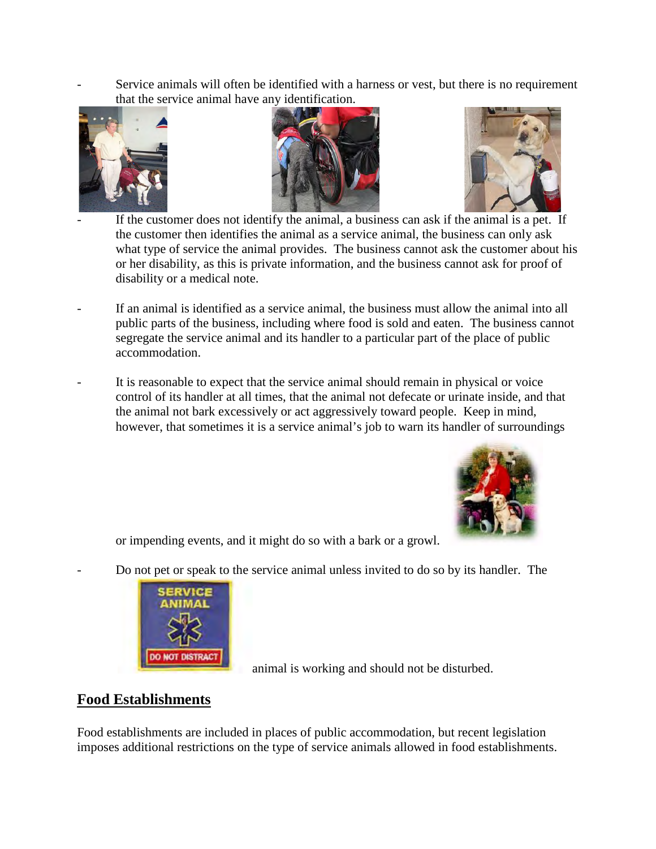Service animals will often be identified with a harness or vest, but there is no requirement that the service animal have any identification.







If the customer does not identify the animal, a business can ask if the animal is a pet. If the customer then identifies the animal as a service animal, the business can only ask what type of service the animal provides. The business cannot ask the customer about his or her disability, as this is private information, and the business cannot ask for proof of disability or a medical note.

- If an animal is identified as a service animal, the business must allow the animal into all public parts of the business, including where food is sold and eaten. The business cannot segregate the service animal and its handler to a particular part of the place of public accommodation.
- It is reasonable to expect that the service animal should remain in physical or voice control of its handler at all times, that the animal not defecate or urinate inside, and that the animal not bark excessively or act aggressively toward people. Keep in mind, however, that sometimes it is a service animal's job to warn its handler of surroundings



or impending events, and it might do so with a bark or a growl.

[Do not pet or speak to the s](http://www.google.com/imgres?q=service+animals&um=1&hl=en&rlz=1R2ADRA_enUS365&biw=1143&bih=637&tbm=isch&tbnid=uQR3_XwRX0fsrM:&imgrefurl=http://servicedogjackets.com/&docid=D5EDuQWJAWEJwM&imgurl=http://servicedogjackets.com/images/Service-Animal-patch.jpg&w=210&h=149&ei=NuKVTs-oF4PYiQLogKnSDQ&zoom=1)ervice animal unless invited to do so by its handler. The



animal is working and should not be disturbed.

### **Food Establishments**

Food establishments are included in places of public accommodation, but recent legislation imposes additional restrictions on the type of service animals allowed in food establishments.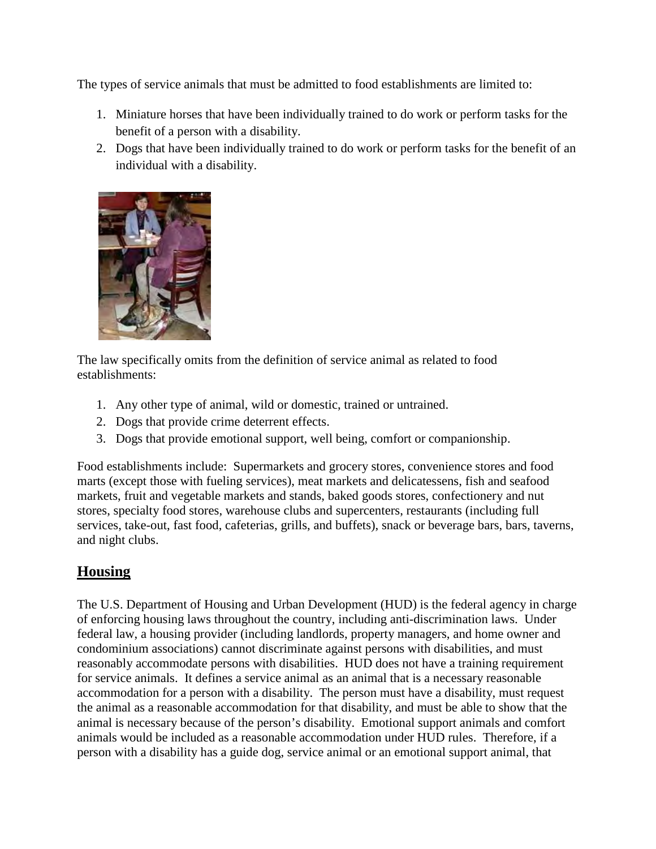The types of service animals that must be admitted to food establishments are limited to:

- 1. Miniature horses that have been individually trained to do work or perform tasks for the benefit of a person with a disability.
- 2. Dogs that have been individually trained to do work or perform tasks for the benefit of an individual with a disability.



The law specifically omits from the definition of service animal as related to food establishments:

- 1. Any other type of animal, wild or domestic, trained or untrained.
- 2. Dogs that provide crime deterrent effects.
- 3. Dogs that provide emotional support, well being, comfort or companionship.

Food establishments include: Supermarkets and grocery stores, convenience stores and food marts (except those with fueling services), meat markets and delicatessens, fish and seafood markets, fruit and vegetable markets and stands, baked goods stores, confectionery and nut stores, specialty food stores, warehouse clubs and supercenters, restaurants (including full services, take-out, fast food, cafeterias, grills, and buffets), snack or beverage bars, bars, taverns, and night clubs.

## **Housing**

The U.S. Department of Housing and Urban Development (HUD) is the federal agency in charge of enforcing housing laws throughout the country, including anti-discrimination laws. Under federal law, a housing provider (including landlords, property managers, and home owner and condominium associations) cannot discriminate against persons with disabilities, and must reasonably accommodate persons with disabilities. HUD does not have a training requirement for service animals. It defines a service animal as an animal that is a necessary reasonable accommodation for a person with a disability. The person must have a disability, must request the animal as a reasonable accommodation for that disability, and must be able to show that the animal is necessary because of the person's disability. Emotional support animals and comfort animals would be included as a reasonable accommodation under HUD rules. Therefore, if a person with a disability has a guide dog, service animal or an emotional support animal, that